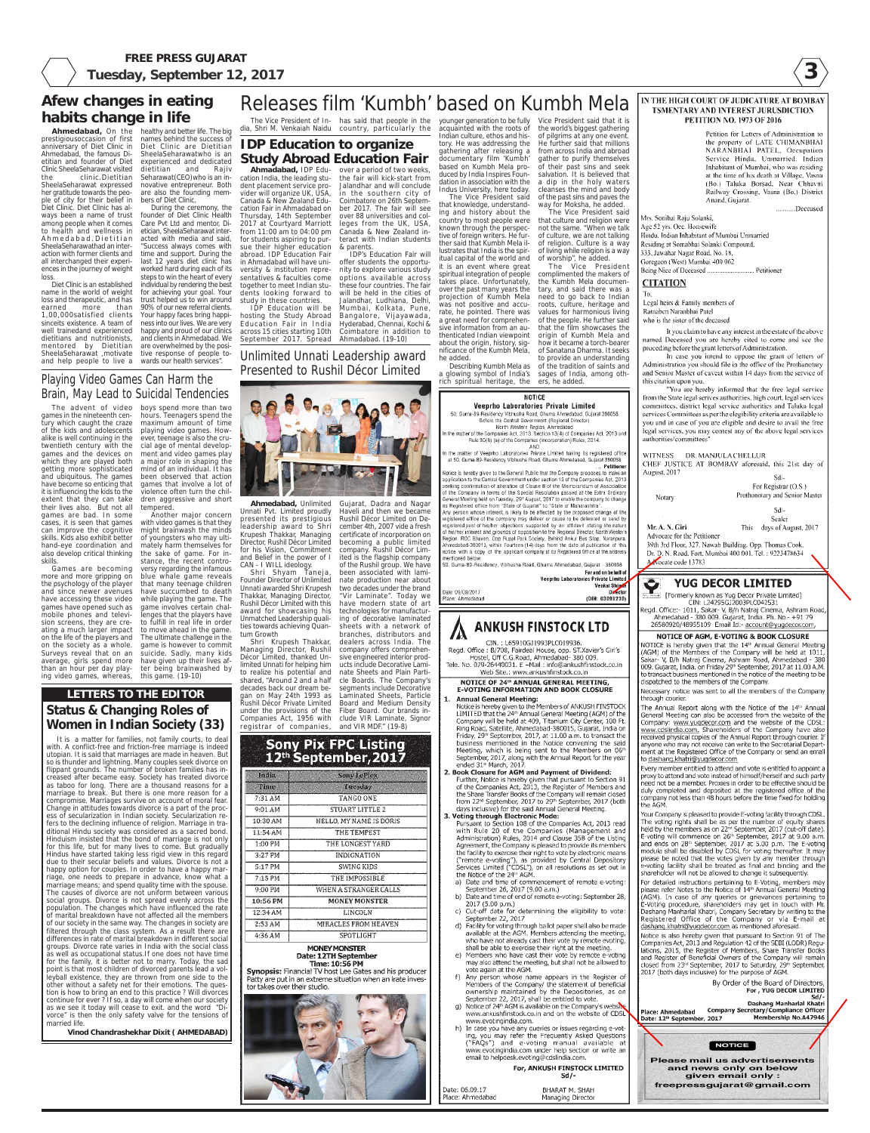**3**

**FREE PRESS GUJARAT Tuesday, September 12, 2017** 

> Mrs. Sonibai Raju Sołanki, Age 52 yrs. Occ. Housewife Hindu, Indian Inhabitant of Mumbai Unmarried Residing at Somabhai Solanki Compound, 333, Jawahar Nagar Road, No. 18, Goregaon (West) Mumbai 400 062 Being Nice of Deceased .... ....................... Petitioner

**CITATION** 

Notary

Mr. A. N. Giri

To,

Legal heirs & Family members of Ratnaben Naranbhai Patel who is the sister of the deceased

It you claim to have any interest in the estate of the above named Deceased you are hereby cited to come and see the proceding before the grant letters of Administration.

In case you intend to oppose the grant of letters of Administration you should file in the office of the Prothanotary and Senior Master of caveat within 14 days from the service of this citation upon you.

"You are hereby informed that the free legal service from the State legal serives authorities, high court, legal services committees, district legal service authorities and Taluka legal services Committees as per the elegibility criteria are available to you and in case of you are eligible and desire to avail the free legal services, you may contest any of the above legal services authorities/committees'

WITNESS DR. MANJULA CHELLUR CHEF JUSTICE AT BOMBAY aforesaid, this 21st day of August, 2017



Sd/-Sealer

This days of August, 2017

Advocate for the Petitioner 39th 3rd Floor, 327, Nawab Building, Opp. Thomas Cook, Dr. D. N. Road, Fort, Mumbai 400 001, Tel. : 9223478634 Advocate code 13783

**YUG DECOR LIMITED** 

[Formerly known as Yug Decor Private Limited] CIN: L24295GJ2003PLC042531 Read. Office:- 1011. Sakar- V. B/h Natrai Cinema. Ashram Road Ahmedabad - 380 009. Gujarat, India. Ph. No.- +91 79 26580920/48955109 Email Id:- account@yugdecor.com,

## NOTICE OF AGM, E-VOTING & BOOK CLOSURE

NOTICE is hereby given that the 14th Annual General Meeting (AGM) of the Members of the Company will be held at 1011 Sakar- V, B/h Natraj Cinema, Ashram Road, Ahmedabad - 380 009. Gujarat, India. on Friday 29th September, 2017 at 11.00 A.M. to transact business mentioned in the notice of the meeting to be dispatched to the members of the Company.

## **LETTERS TO THE EDITOR Status & Changing Roles of Women in Indian Society (33)**

It is a matter for families, not family courts, to deal with. A conflict-free and friction-free marriage is indeed utopian. It is said that marriages are made in heaven. But so is thunder and lightning. Many couples seek divorce on flippant grounds. The number of broken families has increased after became easy. Society has treated divorce as taboo for long. There are a thousand reasons for a marriage to break. But there is one more reason for a compromise. Marriages survive on account of moral fear. Change in attitudes towards divorce is a part of the process of secularization in Indian society. Secularization refers to the declining influence of religion. Marriage in traditional Hindu society was considered as a sacred bond. Hinduism insisted that the bond of marriage is not only for this life, but for many lives to come. But gradually Hindus have started taking less rigid view in this regard due to their secular beliefs and values. Divorce is not a happy option for couples. In order to have a happy marriage, one needs to prepare in advance, know what a marriage means; and spend quality time with the spouse. The causes of divorce are not uniform between various social groups. Divorce is not spread evenly across the population. The changes which have influenced the rate of marital breakdown have not affected all the members of our society in the same way. The changes in society are filtered through the class system. As a result there are differences in rate of marital breakdown in different social groups. Divorce rate varies in India with the social class as well as occupational status.If one does not have time for the family, it is better not to marry. Today, the sad point is that most children of divorced parents lead a volleyball existence, they are thrown from one side to the other without a safety net for their emotions. The question is how to bring an end to this practice ? Will divorces continue for ever ? If so, a day will come when our society as we see it today will cease to exit. and the word "Divorce" is then the only safety valve for the tensions of married life.

Shri Shyam Taneja, Founder Director of Unlimited Unnati awarded Shri Krupesh Thakkar, Managing Director, Rushil Décor Limited with this award for showcasing his Unmatched Leadership qualities towards achieving Quantum Growth

**Vinod Chandrashekhar Dixit ( AHMEDABAD)**

Sony Pix FPC Listing<br>12th September, 2017

| India     | ડાયર પ્રદર્શ છે.        |
|-----------|-------------------------|
| sunts     | 1003 S.W                |
| 7:31 AM   | TANGO ONE               |
| 9:01 AM   | STUART LITTLE 2         |
| 10:30AM   | HÉLLO, MY NAME IS DORIS |
| 11:54 AM  | THE TEMPEST             |
| 1:00 PM   | THE LONGEST YARD        |
| $3:27$ PM | INDIGNATION             |
| 5:17 PM   | SWING KIDS              |
| $7:15$ PM | THE IMPOSSIBLE          |
| 9:00 PM   | WHEN A STRANGER CALLS   |
| 10:56 PM  | <b>MONEY MONSTER</b>    |
| 12:34 AM  | <b>LINCOLN</b>          |
| 2:53AM    | MIRACLES FROM HEAVEN    |
| 4:36 AM   | SPOTLIGHT               |

#### **MONEY MONSTER** Date: 12TH September **Time: 10:56 PM**

**Synopsis:** Financial TV host Lee Gates and his producer Patty are put in an extreme situation when an irate investor takes over their studio.



Hostel, Uff C.G.Road, Ahmedabad- 380 009. Tele, No. 079-26440031, E -Mail: info@ankushfinstock.co.in Web Site.: www.ankushfinstock.co.in

### NOTICE OF 24th ANNUAL GENERAL MEETING. E-VOTING INFORMATION AND BOOK CLOSURE

### **Annual General Meeting:**

Notice is hereby given to the Members of ANKUSH FINSTOCK LIMITED that the 24<sup>th</sup> Annual General Meeting (AGM) of the Company will be held at 409, Titanium City Center, 100 Ft. Ring Road, Satellite, Ahmedabad-380015, Gujarat, India on Friday, 29<sup>th</sup> September, 2017, at 11.00 a.m. to transact the business mentioned in the Notice convening the said Meeting, which is being sent to the Members on 06th September, 2017, along with the Annual Report for the year ended 31st March, 2017.

### 2. Book Closure for AGM and Payment of Dividend:

Further, Notice is hereby given that pursuant to Section 91 of the Companies Act, 2013, the Register of Members and the Share Transfer Books of the Company will remain closed from 22<sup>rd</sup> September, 2017 to 29<sup>th</sup> September, 2017 (both days inclusive) for the said Annual General Meeting.

### 3. Voting through Electronic Mode:

Pursuant to Section 108 of the Companies Act, 2013 read with Rule 20 of the Companies (Management and Administration) Rules, 2014 and Clause 35B of the Listing Agreement, the Company is pleased to provide its members the facility to exercise their right to vote by electronic means ("remote e-voting"), as provided by Central Depository Services Limited ("CDSL"), on all resolutions as set out in the Notice of the 24th AGM.

- a) Date and time of commencement of remote e-voting: September 26, 2017 (9.00 a.m.)
- b) Date and time of end of remote e-voting: September 28, 2017 (5.00 p.m.)
- Cut-off date for determining the eligibility to vote:  $\mathsf{c}$ ) September 22, 2017
- d) Facility for voting through ballot paper shall also be made available at the AGM. Members attending the meeting, who have not already cast their vote by remote evoting, shall be able to exercise their right at the meeting.
- e) Members who have cast their vote by remote e-voting may also attend the meeting, but shall not be allowed to vote again at the AGM.
- f) Any person whose name appears in the Register of Members of the Company/ the statement of beneficial ownership maintained by the Depositories, as on September 22, 2017, shall be entitled to vote.
- g) Notice of 24th AGM is available on the Company's website www.ankushfinstock.co.in and on the website of CDSL www.evotingindia.com.
- h) In case you have any queries or issues regarding e-voting, you may refer the Frequently Asked Questions ("FAQs") and e-voting manual available at www.evotingindia.com under help section or write an email to helpdesk evoting@cdslindia.com.

For, ANKUSH FINSTOCK LIMITED  $Sd$  /-

Date: 06.09.17 BHARAT M. SHAH Place: Ahmedabad Managing Director Necessary notice was sent to all the members of the Company through courier.

The Annual Report along with the Notice of the 14<sup>th</sup> Annual General Meeting can also be accessed from the website of the Company: www.yugdecor.com and the website of the CDSL www.cdslindia.com. Shareholders of the Company have also received physical copies of the Annual Report through courier. If anyone who may not receive can write to the Secretarial Department at the Registered Office of the Company or send an email to dashang.khatri@yugdecor.com

Every member entitled to attend and vote is entitled to appoint a proxy to attend and vote instead of himself/herself and such party need not be a member. Proxies in order to be effective should be duly completed and deposited at the registered office of the company not less than 48 hours before the time fixed for holding the AGM.

Your Company is pleased to provide E-voting facility through CDSL. The voting rights shall be as per the number of equity shares held by the members as on 22<sup>nd</sup> September, 2017 (cut-off date). E-voting will commence on 26<sup>th</sup> September, 2017 at 9.00 a.m. and ends on 28th September, 2017 at 5.00 p.m. The E-voting module shall be disabled by CDSL for voting thereafter. It may please be noted that the votes given by any member through e-voting facility shall be treated as final and binding and the shareholder will not be allowed to change it subsequently.

For detailed instructions pertaining to E-Voting, members may please refer Notes to the Notice of 14th Annual General Meeting (AGM). In case of any queries or grievances pertaining to E-Voting procedure, shareholders may get in touch with Mr. Dashang Manharlal Khatri, Company Secretary by writing to the Registered Office of the Company or via E-mail at dashang.khatri@yugdecor.com as mentioned aforesaid.

Notice is also hereby given that pursuant to Section 91 of The Companies Act, 2013 and Regulation 42 of the SEBI (LODR) Regulations, 2015, the Register of Members, Share Transfer Books and Register of Beneficial Owners of the Company will remain closed from 23rd September, 2017 to Saturday, 29th September, 2017 (both days inclusive) for the purpose of AGM.

By Order of the Board of Directors, For, YUG DECOR LIMITED Dashang Manharlal Khatri Place: Ahmedabad Company Secretary/Compliance Officer **Membership No.A47946** Date: 12<sup>th</sup> September, 2017 **NOTICE** 

**Please mail us advertisements** and news only on below given email only : freepressgujarat@gmail.com

Unlimited Unnati Leadership award Presented to Rushil Décor Limited

**Ahmedabad,** Unlimited

Ahmadabad, IDP Edu- over a period of two weeks, cation India, the leading stuthe fair will kick-start from Jalandhar and will conclude in the southern city of Coimbatore on 26th September 2017. The fair will see over 88 universities and colleges from the UK, USA, Canada & New Zealand interact with Indian students & parents. IDP's Education Fair will

Unnati Pvt. Limited proudly presented its prestigious leadership award to Shri Krupesh Thakkar, Managing Director, Rushil Décor Limited for his Vision, Commitment and Belief in the power of I CAN - I WILL ideology.

IDP Education will be September 2017. Spread Ahmadabad. (19-10) offer students the opportunity to explore various study options available across these four countries. The fair will be held in the cities of Jalandhar, Ludhiana, Delhi, Mumbai, Kolkata, Pune, Bangalore, Vijayawada, Hyderabad, Chennai, Kochi & Coimbatore in addition to

> Gujarat, Dadra and Nagar Haveli and then we became Rushil Décor Limited on December 4th, 2007 vide a fresh certificate of incorporation on becoming a public limited company. Rushil Décor Limited is the flagship company of the Rushil group. We have been associated with laminate production near about two decades under the brand "Vir Laminate". Today we have modern state of art technologies for manufacturing of decorative laminated sheets with a network of

Shri Krupesh Thakkar, dealers across India. The Managing Director, Rushil company offers comprehen-Décor Limited, thanked Un-sive engineered interior prodlimited Unnati for helping him ucts include Decorative Lamito realize his potential and nate Sheets and Plain Partishared, "Around 2 and a half cle Boards. The Company's decades back our dream be-segments include Decorative gan on May 24th 1993 as Laminated Sheets, Particle Rushil Décor Private Limited Board and Medium Density under the provisions of the Fiber Board. Our brands in-Companies Act, 1956 with clude VIR Laminate, Signor registrar of companies, and VIR MDF." (19-8)

to health and wellness in etician, SheelaSeharawat inter-During the ceremony, the founder of Diet Clinic Health Care Pvt Ltd and mentor, Diacted with media and said, "Success always comes with time and support. During the last 12 years diet clinic has worked hard during each of its steps to win the heart of every individual by rendering the best for achieving your goal. Your trust helped us to win around 90% of our new referral clients. Your happy faces bring happiness into our lives. We are very happy and proud of our clinics

> tive response of people towards our health services".

> > branches, distributors and

## **IDP Education to organize Study Abroad Education Fair**

dent placement service provider will organize UK, USA, Canada & New Zealand Education Fair in Ahmadabad on Thursday, 14th September 2017 at Courtyard Marriott from 11:00 am to 04:00 pm for students aspiring to pursue their higher education abroad. IDP Education Fair in Ahmadabad will have uni-

## **Afew changes in eating habits change in life**

anniversary of Diet Clinic in Ahmedabad, the famous Dietitian and founder of Diet Clinic SheelaSeharawat visited the clinic.Dietitian SheelaSeharawat expressed her gratitude towards the people of city for their belief in Diet Clinic. Diet Clinic has always been a name of trust among people when it comes Ahmedabad.Dietitian SheelaSeharawathad an interaction with former clients and all interchanged their experiences in the journey of weight loss.

versity & institution representatives & faculties come together to meet Indian students looking forward to study in these countries. hosting the Study Abroad Education Fair in India across 15 cities starting 10th and clients in Ahmedabad. We are overwhelmed by the posi-

**Ahmedabad,** On the healthy and better life. The big prestigiousoccasion of first names behind the success of are also the founding members of Diet Clinic.

Diet Clinic is an established name in the world of weight loss and therapeutic, and has earned more than 1,00,000satisfied clients sinceits existence. A team of well trainedand experienced dietitians and nutritionists, mentored by Dietitian SheelaSeharawat ,motivate and help people to live a

Diet Clinic are Dietitian SheelaSeharawatwho is an experienced and dedicated dietitian and Rajiv Seharawat(CEO)who is an innovative entrepreneur. Both

## Playing Video Games Can Harm the Brain, May Lead to Suicidal Tendencies

alike is well continuing in the getting more sophisticated and ubiquitous. The games have become so enticing that it is influencing the kids to the extent that they can take their lives also. But not all games are bad. In some cases, it is seen that games can improve the cognitive skills. Kids also exhibit better hand-eye coordination and also develop critical thinking skills.

The advent of video boys spend more than two games in the nineteenth cen-hours. Teenagers spend the tury which caught the craze maximum amount of time of the kids and adolescents playing video games. Howtwentieth century with the cial age of mental developgames and the devices on ment and video games play which they are played both a major role in shaping the ever, teenage is also the crumind of an individual. It has been observed that action games that involve a lot of violence often turn the children aggressive and short

Games are becoming more and more gripping on the psychology of the player and since newer avenues have accessing these video games have opened such as mobile phones and televiating a much larger impact to move ahead in the game. on the life of the players and The ultimate challenge in the on the society as a whole. Surveys reveal that on an

sion screens, they are cre-to fulfill in real life in order tempered. Another major concern with video games is that they might brainwash the minds of youngsters who may ultimately harm themselves for the sake of game. For instance, the recent controversy regarding the infamous blue whale game reveals that many teenage children have succumbed to death while playing the game. The game involves certain challenges that the players have

average, girls spend more have given up their lives afthan an hour per day play-ter being brainwashed by ing video games, whereas, this game. (19-10)

game is however to commit suicide. Sadly, many kids

dia, Shri M. Venkaiah Naidu country, particularly the

younger generation to be fully acquainted with the roots of Indian culture, ethos and history. He was addressing the gathering after releasing a documentary film 'Kumbh' based on Kumbh Mela produced by India Inspires Foundation in association with the Indus University, here today. The Vice President said

### Releases film 'Kumbh' based on Kumbh Mela The Vice President of In-has said that people in the Vice President said that it is

he added.

that knowledge, understanding and history about the country to most people were known through the perspective of foreign writers. He further said that Kumbh Mela illustrates that India is the spiritual capital of the world and it is an event where great spiritual integration of people takes place. Unfortunately, over the past many years the projection of Kumbh Mela was not positive and accurate, he pointed. There was a great need for comprehenthat culture and religion were of culture, we are not talking of religion. Culture is a way of worship", he added. the Kumbh Mela documenneed to go back to Indian

the world's biggest gathering of pilgrims at any one event. He further said that millions from across India and abroad gather to purify themselves of their past sins and seek salvation. It is believed that a dip in the holy waters cleanses the mind and body of the past sins and paves the way for Moksha, he added. The Vice President said

sive information from an authenticated Indian viewpoint about the origin, history, significance of the Kumbh Mela, roots, culture, heritage and values for harmonious living of the people. He further said that the film showcases the origin of Kumbh Mela and how it became a torch-bearer of Sanatana Dharma. It seeks

not the same. "When we talk

Describing Kumbh Mela as a glowing symbol of India's rich spiritual heritage, the to provide an understanding of the tradition of saints and sages of India, among others, he added.

of living while religion is a way

The Vice President complimented the makers of

### **NOTICE**

Veeprho Laboratories Private Limited 50, Guma-89-Residency Vibhusha Road, Ghuma Ahmedabad, Gujarat 380058 Before the Central Government (Regional Director) North Western Region, Ahmedabad In the matter of the Companies Act, 2013. Section 13(4) of Companies Act, 2013 and Rule 30(6) (a) of the Companies (Incorporation) Rules, 2014. AND In the matter of Veeprho Laboratories Private Limited having its registered office at 50, Guma-89-Residency Vibhusha Road, Ghuma Ahmedabad, Gujarat 380058 Petitione Notice is hereby given to the General Public that the Company proposes to make an application to the Central Government under section 13 of the Companies Act. 2013 seeking confirmation of alteration of Clause II of the Memorandum of Association of the Company in terms of the Special Resolution passed at the Extra Ordinary General Meeting held on Tuesday, 29th August, 2017 to enable the company to change its Registered office from "State of Gujarat" to "State of Maharashtra". Any person whose interest is likely to be affected by the proposed change of the registered office of the company may deliver or cause to be delivered or send by registered post of his/her objections' supported by an affidavit stating the nature of his/her interest and grounds of opposition to the Regional Director. North Western Region, ROC Bhavan, Opp Rupal Park Society, Behind Ankur Bus Stop, Naranpura, Ahmedabad-380013, within Fourteen (14) days from the date of publication of this notice with a copy of the applicant company at its Registered Office at the address mentioned below For and on behalf of Veeprho Laboratories Private Limited Venkat Shindi<br>Directo Date: 09/09/2017 (DIN: 03090230) Place: Ahmedabad



IN THE HIGH COURT OF JUDICATURE AT BOMBAY TSMENTARY AND INTEREST JURUSDICTION **PETITION NO. 1973 OF 2016** 

> Petition for Letters of Administration to the property of LATE CHIMANBHAI NARANBHAI PATEL, Occupation Service Hindu, Unmarried, Indian Inhabitant of Mumbai, who was residing at the time of his death at Village, Vasna (Bo.) Taluka Borsad, Near Chhavni Railway Crossing, Vasna (Bo.) District Anand, Guiarat.

..........Deceased

tary, and said there was a